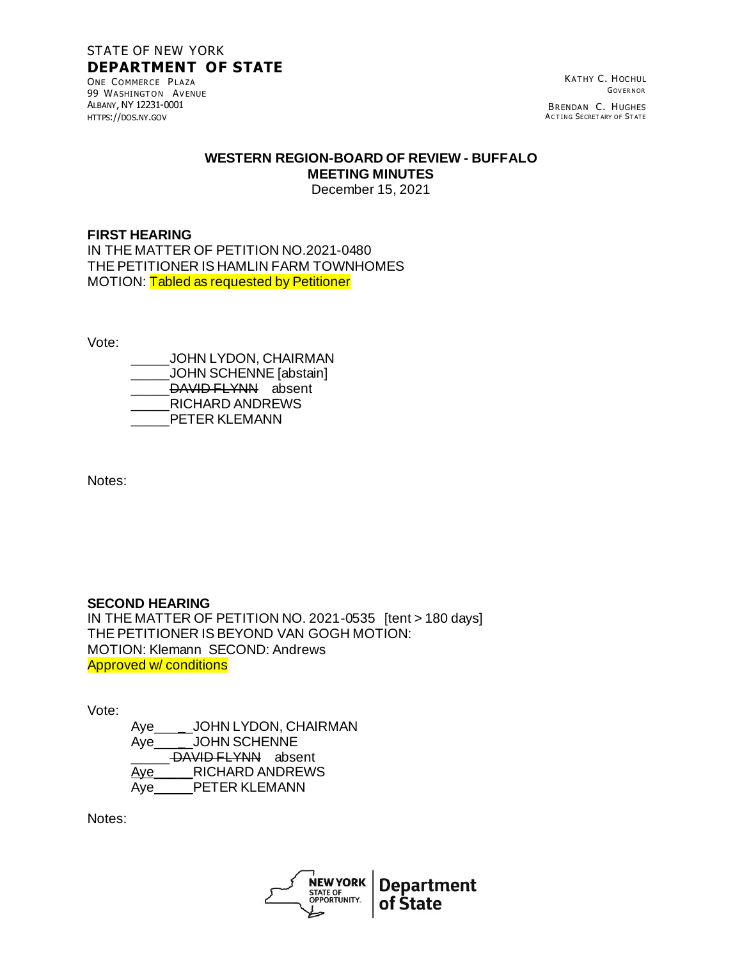# STATE OF NEW YORK **DEPARTMENT OF STATE**

ONE COMMERCE PLAZA 99 WASHINGTON AVENUE ALBANY, NY 12231-0001 HTTPS://DOS.NY.GOV

KATHY C. HOCHUL **GOVERNOR** 

BRENDAN C. HUGHES<br>Acting Secretary of State

#### **WESTERN REGION-BOARD OF REVIEW - BUFFALO MEETING MINUTES**

December 15, 2021

## **FIRST HEARING**

IN THE MATTER OF PETITION NO.2021-0480 THE PETITIONER IS HAMLIN FARM TOWNHOMES MOTION: Tabled as requested by Petitioner

Vote:

\_\_\_\_\_JOHN LYDON, CHAIRMAN \_\_\_\_\_JOHN SCHENNE [abstain] DAVID FLYNN absent \_\_\_\_\_RICHARD ANDREWS PETER KLEMANN

Notes:

## **SECOND HEARING**

IN THE MATTER OF PETITION NO. 2021-0535 [tent > 180 days] THE PETITIONER IS BEYOND VAN GOGH MOTION: MOTION: Klemann SECOND: Andrews Approved w/ conditions

Vote:

Aye\_\_\_\_\_JOHN LYDON, CHAIRMAN Aye\_\_\_\_\_JOHN SCHENNE DAVID FLYNN absent Aye RICHARD ANDREWS Aye\_\_\_\_\_PETER KLEMANN

Notes:

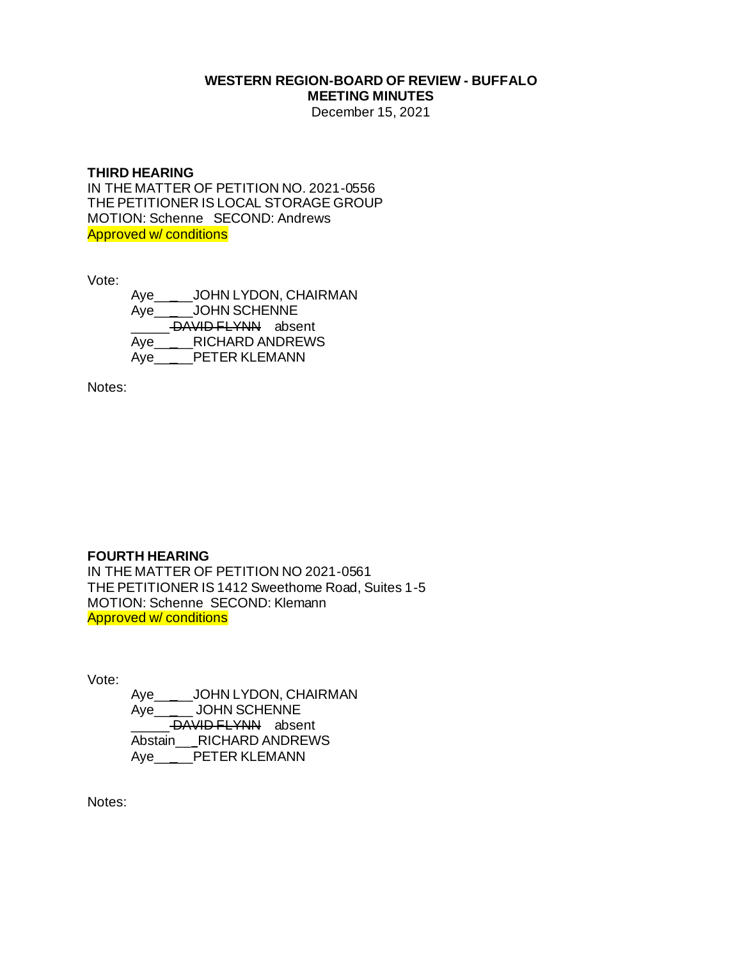# **WESTERN REGION-BOARD OF REVIEW - BUFFALO MEETING MINUTES**

December 15, 2021

### **THIRD HEARING**

IN THE MATTER OF PETITION NO. 2021-0556 THE PETITIONER IS LOCAL STORAGE GROUP MOTION: Schenne SECOND: Andrews Approved w/ conditions

Vote:

Aye\_\_\_\_\_JOHN LYDON, CHAIRMAN Aye\_\_\_\_\_JOHN SCHENNE DAVID FLYNN absent Aye\_\_\_\_\_RICHARD ANDREWS Aye PETER KLEMANN

Notes:

### **FOURTH HEARING**

IN THE MATTER OF PETITION NO 2021-0561 THE PETITIONER IS 1412 Sweethome Road, Suites 1-5 MOTION: Schenne SECOND: Klemann Approved w/ conditions

Vote:

Aye\_\_\_\_\_JOHN LYDON, CHAIRMAN Aye\_\_\_\_\_ JOHN SCHENNE DAVID FLYNN absent Abstain\_\_ RICHARD ANDREWS Aye\_\_\_\_\_PETER KLEMANN

Notes: